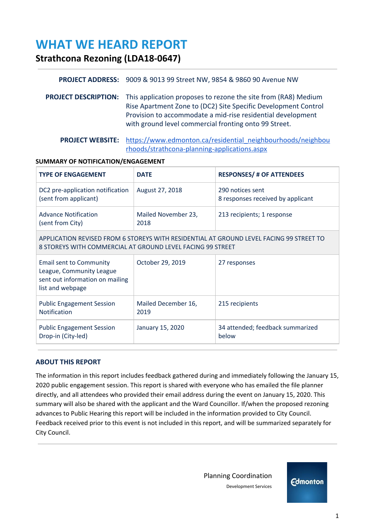# **WHAT WE HEARD REPORT**

**Strathcona Rezoning (LDA18-0647)**

## **PROJECT ADDRESS:** 9009 & 9013 99 Street NW, 9854 & 9860 90 Avenue NW

**PROJECT DESCRIPTION:** This application proposes to rezone the site from (RA8) Medium Rise Apartment Zone to (DC2) Site Specific Development Control Provision to accommodate a mid-rise residential development with ground level commercial fronting onto 99 Street.

**PROJECT WEBSITE:** [https://www.edmonton.ca/residential\\_neighbourhoods/neighbou](https://www.edmonton.ca/residential_neighbourhoods/neighbourhoods/strathcona-planning-applications.aspx) [rhoods/strathcona-planning-applications.aspx](https://www.edmonton.ca/residential_neighbourhoods/neighbourhoods/strathcona-planning-applications.aspx)

## **SUMMARY OF NOTIFICATION/ENGAGEMENT**

| <b>TYPE OF ENGAGEMENT</b>                                                                                                                             | <b>DATE</b>                 | <b>RESPONSES/ # OF ATTENDEES</b>                      |
|-------------------------------------------------------------------------------------------------------------------------------------------------------|-----------------------------|-------------------------------------------------------|
| DC2 pre-application notification<br>(sent from applicant)                                                                                             | August 27, 2018             | 290 notices sent<br>8 responses received by applicant |
| <b>Advance Notification</b><br>(sent from City)                                                                                                       | Mailed November 23,<br>2018 | 213 recipients; 1 response                            |
| APPLICATION REVISED FROM 6 STOREYS WITH RESIDENTIAL AT GROUND LEVEL FACING 99 STREET TO<br>8 STOREYS WITH COMMERCIAL AT GROUND LEVEL FACING 99 STREET |                             |                                                       |
| <b>Email sent to Community</b><br>League, Community League<br>sent out information on mailing<br>list and webpage                                     | October 29, 2019            | 27 responses                                          |
| <b>Public Engagement Session</b><br><b>Notification</b>                                                                                               | Mailed December 16,<br>2019 | 215 recipients                                        |
| <b>Public Engagement Session</b><br>Drop-in (City-led)                                                                                                | January 15, 2020            | 34 attended; feedback summarized<br>below             |

## **ABOUT THIS REPORT**

The information in this report includes feedback gathered during and immediately following the January 15, 2020 public engagement session. This report is shared with everyone who has emailed the file planner directly, and all attendees who provided their email address during the event on January 15, 2020. This summary will also be shared with the applicant and the Ward Councillor. If/when the proposed rezoning advances to Public Hearing this report will be included in the information provided to City Council. Feedback received prior to this event is not included in this report, and will be summarized separately for City Council.

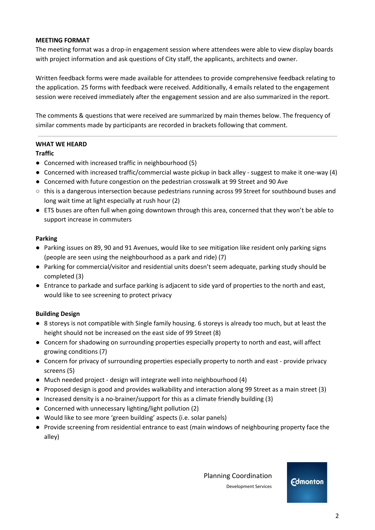#### **MEETING FORMAT**

The meeting format was a drop-in engagement session where attendees were able to view display boards with project information and ask questions of City staff, the applicants, architects and owner.

Written feedback forms were made available for attendees to provide comprehensive feedback relating to the application. 25 forms with feedback were received. Additionally, 4 emails related to the engagement session were received immediately after the engagement session and are also summarized in the report.

The comments & questions that were received are summarized by main themes below. The frequency of similar comments made by participants are recorded in brackets following that comment.

## **WHAT WE HEARD**

#### **Traffic**

- Concerned with increased traffic in neighbourhood (5)
- Concerned with increased traffic/commercial waste pickup in back alley suggest to make it one-way (4)
- Concerned with future congestion on the pedestrian crosswalk at 99 Street and 90 Ave
- this is a dangerous intersection because pedestrians running across 99 Street for southbound buses and long wait time at light especially at rush hour (2)
- ETS buses are often full when going downtown through this area, concerned that they won't be able to support increase in commuters

#### **Parking**

- Parking issues on 89, 90 and 91 Avenues, would like to see mitigation like resident only parking signs (people are seen using the neighbourhood as a park and ride) (7)
- Parking for commercial/visitor and residential units doesn't seem adequate, parking study should be completed (3)
- Entrance to parkade and surface parking is adjacent to side yard of properties to the north and east, would like to see screening to protect privacy

## **Building Design**

- 8 storeys is not compatible with Single family housing. 6 storeys is already too much, but at least the height should not be increased on the east side of 99 Street (8)
- Concern for shadowing on surrounding properties especially property to north and east, will affect growing conditions (7)
- Concern for privacy of surrounding properties especially property to north and east provide privacy screens (5)
- Much needed project design will integrate well into neighbourhood (4)
- Proposed design is good and provides walkability and interaction along 99 Street as a main street (3)
- Increased density is a no-brainer/support for this as a climate friendly building (3)
- Concerned with unnecessary lighting/light pollution (2)
- Would like to see more 'green building' aspects (i.e. solar panels)
- Provide screening from residential entrance to east (main windows of neighbouring property face the alley)

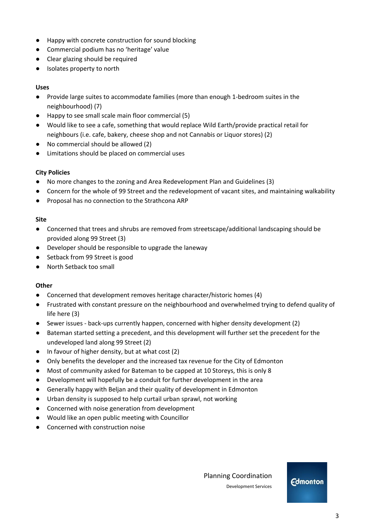- Happy with concrete construction for sound blocking
- Commercial podium has no 'heritage' value
- Clear glazing should be required
- Isolates property to north

#### **Uses**

- Provide large suites to accommodate families (more than enough 1-bedroom suites in the neighbourhood) (7)
- Happy to see small scale main floor commercial (5)
- Would like to see a cafe, something that would replace Wild Earth/provide practical retail for neighbours (i.e. cafe, bakery, cheese shop and not Cannabis or Liquor stores) (2)
- No commercial should be allowed (2)
- Limitations should be placed on commercial uses

## **City Policies**

- No more changes to the zoning and Area Redevelopment Plan and Guidelines (3)
- Concern for the whole of 99 Street and the redevelopment of vacant sites, and maintaining walkability
- Proposal has no connection to the Strathcona ARP

#### **Site**

- Concerned that trees and shrubs are removed from streetscape/additional landscaping should be provided along 99 Street (3)
- Developer should be responsible to upgrade the laneway
- Setback from 99 Street is good
- North Setback too small

#### **Other**

- Concerned that development removes heritage character/historic homes (4)
- Frustrated with constant pressure on the neighbourhood and overwhelmed trying to defend quality of life here (3)
- Sewer issues back-ups currently happen, concerned with higher density development (2)
- Bateman started setting a precedent, and this development will further set the precedent for the undeveloped land along 99 Street (2)
- In favour of higher density, but at what cost (2)
- Only benefits the developer and the increased tax revenue for the City of Edmonton
- Most of community asked for Bateman to be capped at 10 Storeys, this is only 8
- Development will hopefully be a conduit for further development in the area
- Generally happy with Beljan and their quality of development in Edmonton
- Urban density is supposed to help curtail urban sprawl, not working
- Concerned with noise generation from development
- Would like an open public meeting with Councillor
- Concerned with construction noise